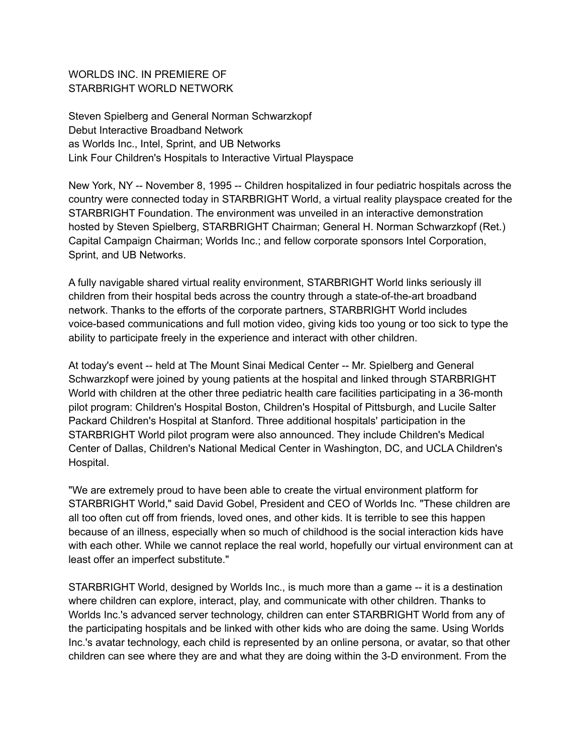WORLDS INC. IN PREMIERE OF STARBRIGHT WORLD NETWORK

Steven Spielberg and General Norman Schwarzkopf Debut Interactive Broadband Network as Worlds Inc., Intel, Sprint, and UB Networks Link Four Children's Hospitals to Interactive Virtual Playspace

New York, NY -- November 8, 1995 -- Children hospitalized in four pediatric hospitals across the country were connected today in STARBRIGHT World, a virtual reality playspace created for the STARBRIGHT Foundation. The environment was unveiled in an interactive demonstration hosted by Steven Spielberg, STARBRIGHT Chairman; General H. Norman Schwarzkopf (Ret.) Capital Campaign Chairman; Worlds Inc.; and fellow corporate sponsors Intel Corporation, Sprint, and UB Networks.

A fully navigable shared virtual reality environment, STARBRIGHT World links seriously ill children from their hospital beds across the country through a state-of-the-art broadband network. Thanks to the efforts of the corporate partners, STARBRIGHT World includes voice-based communications and full motion video, giving kids too young or too sick to type the ability to participate freely in the experience and interact with other children.

At today's event -- held at The Mount Sinai Medical Center -- Mr. Spielberg and General Schwarzkopf were joined by young patients at the hospital and linked through STARBRIGHT World with children at the other three pediatric health care facilities participating in a 36-month pilot program: Children's Hospital Boston, Children's Hospital of Pittsburgh, and Lucile Salter Packard Children's Hospital at Stanford. Three additional hospitals' participation in the STARBRIGHT World pilot program were also announced. They include Children's Medical Center of Dallas, Children's National Medical Center in Washington, DC, and UCLA Children's Hospital.

"We are extremely proud to have been able to create the virtual environment platform for STARBRIGHT World," said David Gobel, President and CEO of Worlds Inc. "These children are all too often cut off from friends, loved ones, and other kids. It is terrible to see this happen because of an illness, especially when so much of childhood is the social interaction kids have with each other. While we cannot replace the real world, hopefully our virtual environment can at least offer an imperfect substitute."

STARBRIGHT World, designed by Worlds Inc., is much more than a game -- it is a destination where children can explore, interact, play, and communicate with other children. Thanks to Worlds Inc.'s advanced server technology, children can enter STARBRIGHT World from any of the participating hospitals and be linked with other kids who are doing the same. Using Worlds Inc.'s avatar technology, each child is represented by an online persona, or avatar, so that other children can see where they are and what they are doing within the 3-D environment. From the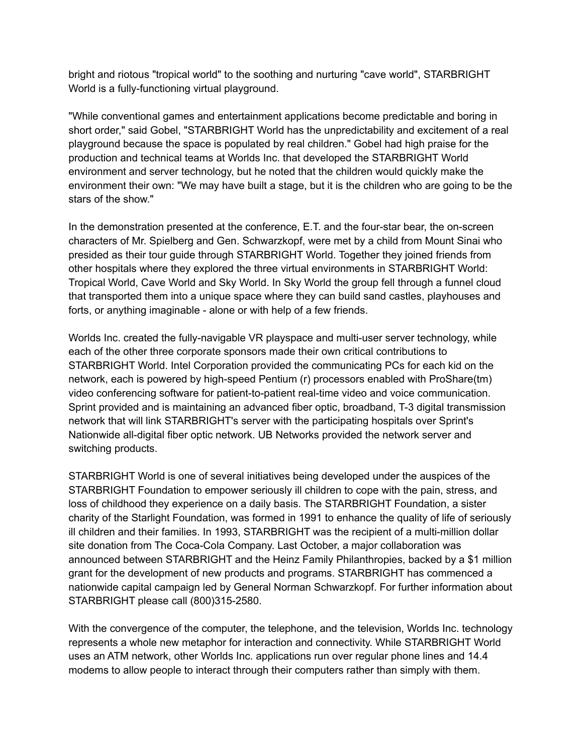bright and riotous "tropical world" to the soothing and nurturing "cave world", STARBRIGHT World is a fully-functioning virtual playground.

"While conventional games and entertainment applications become predictable and boring in short order," said Gobel, "STARBRIGHT World has the unpredictability and excitement of a real playground because the space is populated by real children." Gobel had high praise for the production and technical teams at Worlds Inc. that developed the STARBRIGHT World environment and server technology, but he noted that the children would quickly make the environment their own: "We may have built a stage, but it is the children who are going to be the stars of the show."

In the demonstration presented at the conference, E.T. and the four-star bear, the on-screen characters of Mr. Spielberg and Gen. Schwarzkopf, were met by a child from Mount Sinai who presided as their tour guide through STARBRIGHT World. Together they joined friends from other hospitals where they explored the three virtual environments in STARBRIGHT World: Tropical World, Cave World and Sky World. In Sky World the group fell through a funnel cloud that transported them into a unique space where they can build sand castles, playhouses and forts, or anything imaginable - alone or with help of a few friends.

Worlds Inc. created the fully-navigable VR playspace and multi-user server technology, while each of the other three corporate sponsors made their own critical contributions to STARBRIGHT World. Intel Corporation provided the communicating PCs for each kid on the network, each is powered by high-speed Pentium (r) processors enabled with ProShare(tm) video conferencing software for patient-to-patient real-time video and voice communication. Sprint provided and is maintaining an advanced fiber optic, broadband, T-3 digital transmission network that will link STARBRIGHT's server with the participating hospitals over Sprint's Nationwide all-digital fiber optic network. UB Networks provided the network server and switching products.

STARBRIGHT World is one of several initiatives being developed under the auspices of the STARBRIGHT Foundation to empower seriously ill children to cope with the pain, stress, and loss of childhood they experience on a daily basis. The STARBRIGHT Foundation, a sister charity of the Starlight Foundation, was formed in 1991 to enhance the quality of life of seriously ill children and their families. In 1993, STARBRIGHT was the recipient of a multi-million dollar site donation from The Coca-Cola Company. Last October, a major collaboration was announced between STARBRIGHT and the Heinz Family Philanthropies, backed by a \$1 million grant for the development of new products and programs. STARBRIGHT has commenced a nationwide capital campaign led by General Norman Schwarzkopf. For further information about STARBRIGHT please call (800)315-2580.

With the convergence of the computer, the telephone, and the television, Worlds Inc. technology represents a whole new metaphor for interaction and connectivity. While STARBRIGHT World uses an ATM network, other Worlds Inc. applications run over regular phone lines and 14.4 modems to allow people to interact through their computers rather than simply with them.